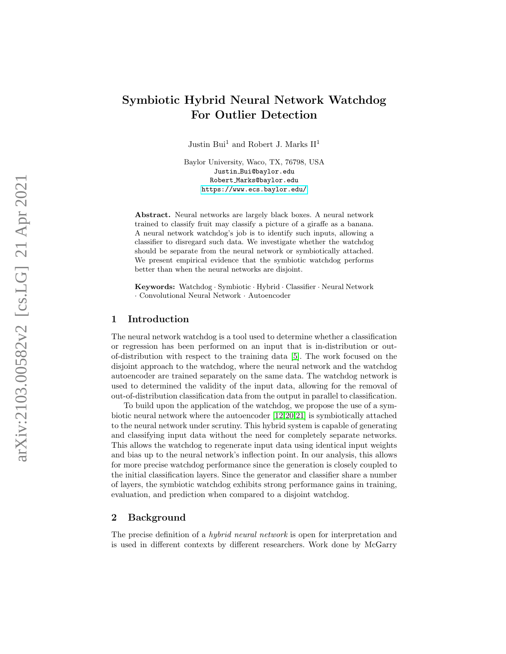# Symbiotic Hybrid Neural Network Watchdog For Outlier Detection

Justin Bui<sup>1</sup> and Robert J. Marks  $\mathrm{II}^1$ 

Baylor University, Waco, TX, 76798, USA Justin Bui@baylor.edu Robert Marks@baylor.edu <https://www.ecs.baylor.edu/>

Abstract. Neural networks are largely black boxes. A neural network trained to classify fruit may classify a picture of a giraffe as a banana. A neural network watchdog's job is to identify such inputs, allowing a classifier to disregard such data. We investigate whether the watchdog should be separate from the neural network or symbiotically attached. We present empirical evidence that the symbiotic watchdog performs better than when the neural networks are disjoint.

Keywords: Watchdog · Symbiotic · Hybrid · Classifier · Neural Network · Convolutional Neural Network · Autoencoder

### 1 Introduction

The neural network watchdog is a tool used to determine whether a classification or regression has been performed on an input that is in-distribution or outof-distribution with respect to the training data [\[5\]](#page-8-0). The work focused on the disjoint approach to the watchdog, where the neural network and the watchdog autoencoder are trained separately on the same data. The watchdog network is used to determined the validity of the input data, allowing for the removal of out-of-distribution classification data from the output in parallel to classification.

To build upon the application of the watchdog, we propose the use of a symbiotic neural network where the autoencoder [\[12,](#page-9-0)[20](#page-9-1)[,21\]](#page-9-2) is symbiotically attached to the neural network under scrutiny. This hybrid system is capable of generating and classifying input data without the need for completely separate networks. This allows the watchdog to regenerate input data using identical input weights and bias up to the neural network's inflection point. In our analysis, this allows for more precise watchdog performance since the generation is closely coupled to the initial classification layers. Since the generator and classifier share a number of layers, the symbiotic watchdog exhibits strong performance gains in training, evaluation, and prediction when compared to a disjoint watchdog.

### 2 Background

The precise definition of a hybrid neural network is open for interpretation and is used in different contexts by different researchers. Work done by McGarry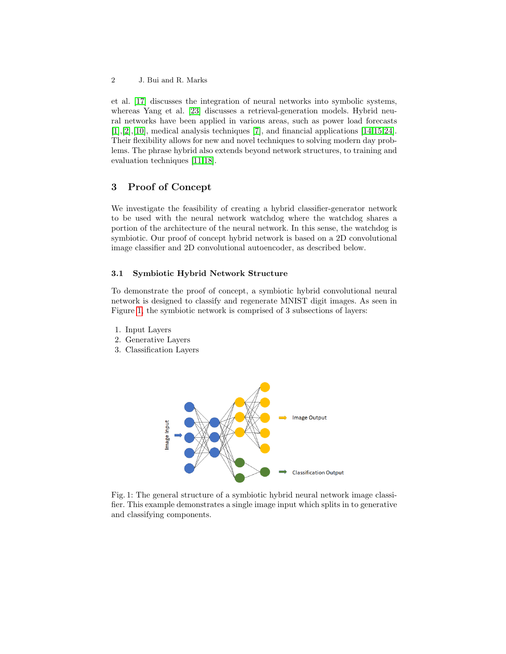et al. [\[17\]](#page-9-3) discusses the integration of neural networks into symbolic systems, whereas Yang et al. [\[23\]](#page-9-4) discusses a retrieval-generation models. Hybrid neural networks have been applied in various areas, such as power load forecasts [\[1\]](#page-8-1),[\[2\]](#page-8-2),[\[10\]](#page-8-3), medical analysis techniques [\[7\]](#page-8-4), and financial applications [\[14,](#page-9-5)[15,](#page-9-6)[24\]](#page-9-7). Their flexibility allows for new and novel techniques to solving modern day problems. The phrase hybrid also extends beyond network structures, to training and evaluation techniques [\[11,](#page-9-8)[18\]](#page-9-9).

# 3 Proof of Concept

We investigate the feasibility of creating a hybrid classifier-generator network to be used with the neural network watchdog where the watchdog shares a portion of the architecture of the neural network. In this sense, the watchdog is symbiotic. Our proof of concept hybrid network is based on a 2D convolutional image classifier and 2D convolutional autoencoder, as described below.

### 3.1 Symbiotic Hybrid Network Structure

To demonstrate the proof of concept, a symbiotic hybrid convolutional neural network is designed to classify and regenerate MNIST digit images. As seen in Figure [1,](#page-1-0) the symbiotic network is comprised of 3 subsections of layers:

- 1. Input Layers
- 2. Generative Layers
- <span id="page-1-0"></span>3. Classification Layers



Fig. 1: The general structure of a symbiotic hybrid neural network image classifier. This example demonstrates a single image input which splits in to generative and classifying components.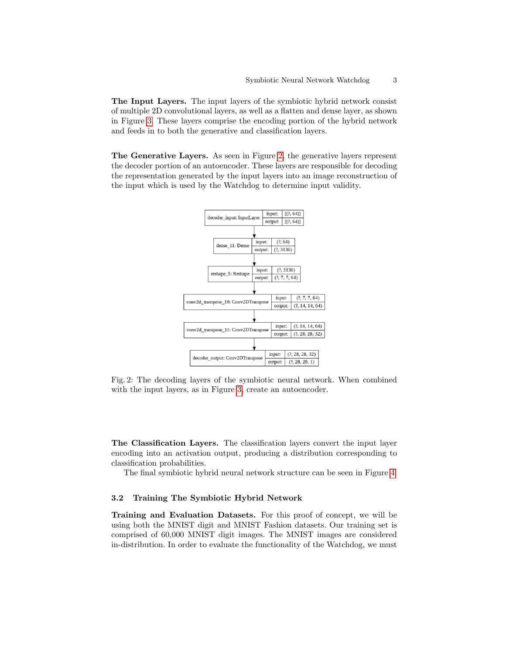The Input Layers. The input layers of the symbiotic hybrid network consist of multiple 2D convolutional layers, as well as a flatten and dense layer, as shown in Figure [3.](#page-3-0) These layers comprise the encoding portion of the hybrid network and feeds in to both the generative and classification layers.

<span id="page-2-0"></span>The Generative Layers. As seen in Figure [2,](#page-2-0) the generative layers represent the decoder portion of an autoencoder. These layers are responsible for decoding the representation generated by the input layers into an image reconstruction of the input which is used by the Watchdog to determine input validity.



Fig. 2: The decoding layers of the symbiotic neural network. When combined with the input layers, as in Figure [3,](#page-3-0) create an autoencoder.

The Classification Layers. The classification layers convert the input layer encoding into an activation output, producing a distribution corresponding to classification probabilities.

The final symbiotic hybrid neural network structure can be seen in Figure [4.](#page-4-0)

### 3.2 Training The Symbiotic Hybrid Network

Training and Evaluation Datasets. For this proof of concept, we will be using both the MNIST digit and MNIST Fashion datasets. Our training set is comprised of 60,000 MNIST digit images. The MNIST images are considered in-distribution. In order to evaluate the functionality of the Watchdog, we must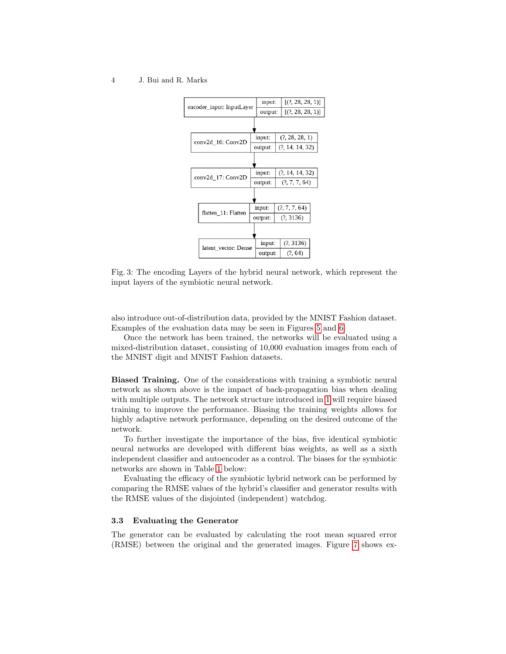#### <span id="page-3-0"></span>4 J. Bui and R. Marks



Fig. 3: The encoding Layers of the hybrid neural network, which represent the input layers of the symbiotic neural network.

also introduce out-of-distribution data, provided by the MNIST Fashion dataset. Examples of the evaluation data may be seen in Figures [5](#page-4-1) and [6.](#page-5-0)

Once the network has been trained, the networks will be evaluated using a mixed-distribution dataset, consisting of 10,000 evaluation images from each of the MNIST digit and MNIST Fashion datasets.

Biased Training. One of the considerations with training a symbiotic neural network as shown above is the impact of back-propagation bias when dealing with multiple outputs. The network structure introduced in [1](#page-1-0) will require biased training to improve the performance. Biasing the training weights allows for highly adaptive network performance, depending on the desired outcome of the network.

To further investigate the importance of the bias, five identical symbiotic neural networks are developed with different bias weights, as well as a sixth independent classifier and autoencoder as a control. The biases for the symbiotic networks are shown in Table [1](#page-5-1) below:

Evaluating the efficacy of the symbiotic hybrid network can be performed by comparing the RMSE values of the hybrid's classifier and generator results with the RMSE values of the disjointed (independent) watchdog.

#### 3.3 Evaluating the Generator

The generator can be evaluated by calculating the root mean squared error (RMSE) between the original and the generated images. Figure [7](#page-5-2) shows ex-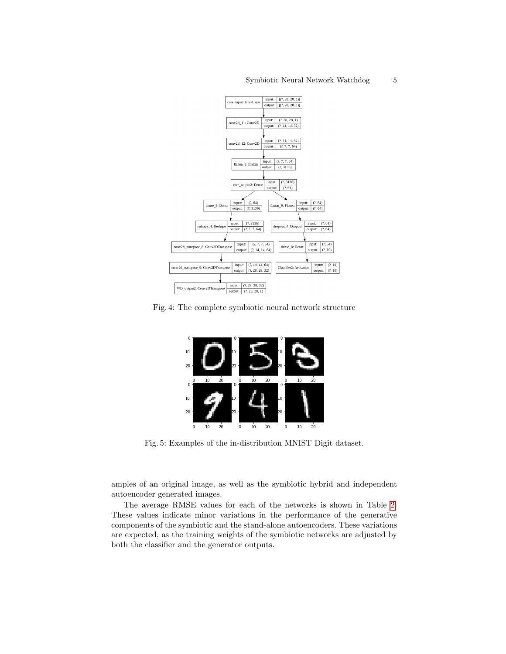<span id="page-4-0"></span>

<span id="page-4-1"></span>Fig. 4: The complete symbiotic neural network structure



Fig. 5: Examples of the in-distribution MNIST Digit dataset.

amples of an original image, as well as the symbiotic hybrid and independent autoencoder generated images.

The average RMSE values for each of the networks is shown in Table [2.](#page-6-0) These values indicate minor variations in the performance of the generative components of the symbiotic and the stand-alone autoencoders. These variations are expected, as the training weights of the symbiotic networks are adjusted by both the classifier and the generator outputs.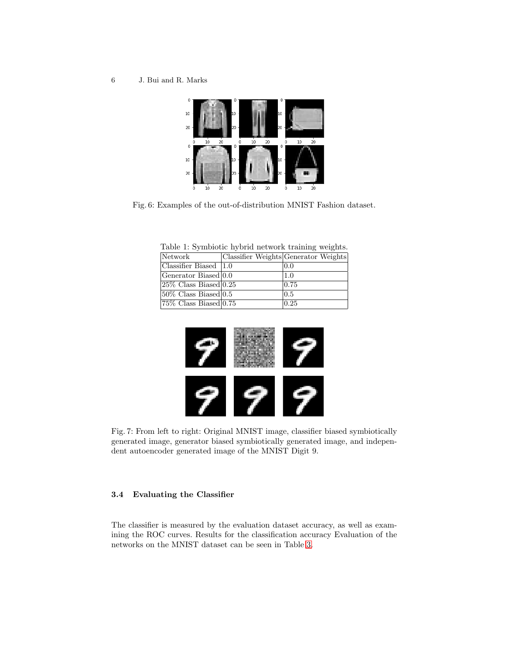<span id="page-5-0"></span>6 J. Bui and R. Marks



<span id="page-5-1"></span>Fig. 6: Examples of the out-of-distribution MNIST Fashion dataset.

Table 1: Symbiotic hybrid network training weights.

| Network                                 | Classifier Weights Generator Weights |
|-----------------------------------------|--------------------------------------|
| $\sqrt{\text{Classifier}}$ Biased   1.0 | 0.0                                  |
| Generator Biased 0.0                    | $\vert 1.0 \vert$                    |
| $ 25\% \text{ Class Biased} 0.25$       | 0.75                                 |
| $ 50\% \text{ Class Biased} 0.5$        | 0.5                                  |
| $ 75\% \text{ Class Biased} 0.75$       | $ 0.25\rangle$                       |

<span id="page-5-2"></span>

Fig. 7: From left to right: Original MNIST image, classifier biased symbiotically generated image, generator biased symbiotically generated image, and independent autoencoder generated image of the MNIST Digit 9.

### 3.4 Evaluating the Classifier

The classifier is measured by the evaluation dataset accuracy, as well as examining the ROC curves. Results for the classification accuracy Evaluation of the networks on the MNIST dataset can be seen in Table [3.](#page-7-0)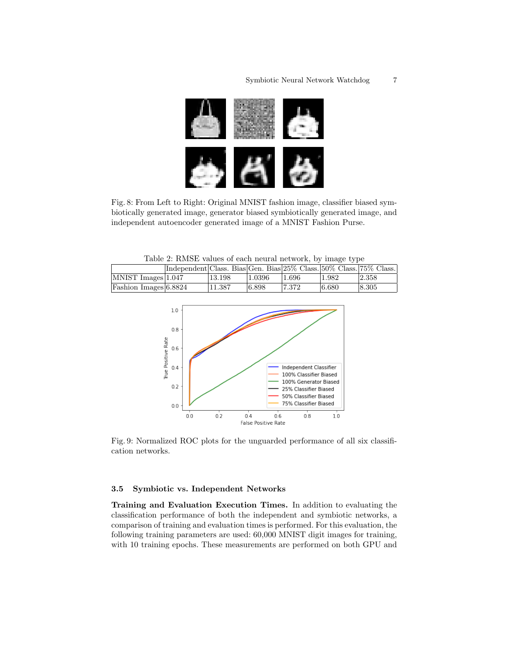

Fig. 8: From Left to Right: Original MNIST fashion image, classifier biased symbiotically generated image, generator biased symbiotically generated image, and independent autoencoder generated image of a MNIST Fashion Purse.

Table 2: RMSE values of each neural network, by image type

<span id="page-6-1"></span><span id="page-6-0"></span>

|                             | Independent Class. Bias Gen. Bias 25% Class. 50% Class. 75% Class. |        |        |        |       |       |
|-----------------------------|--------------------------------------------------------------------|--------|--------|--------|-------|-------|
| $\text{MNIST Images}$ 1.047 |                                                                    | 13.198 | 1.0396 | 1.696  | 1.982 | 2.358 |
| Fashion Images 6.8824       |                                                                    | 11.387 | 6.898  | 17.372 | 6.680 | 8.305 |



Fig. 9: Normalized ROC plots for the unguarded performance of all six classification networks.

### 3.5 Symbiotic vs. Independent Networks

Training and Evaluation Execution Times. In addition to evaluating the classification performance of both the independent and symbiotic networks, a comparison of training and evaluation times is performed. For this evaluation, the following training parameters are used: 60,000 MNIST digit images for training, with 10 training epochs. These measurements are performed on both GPU and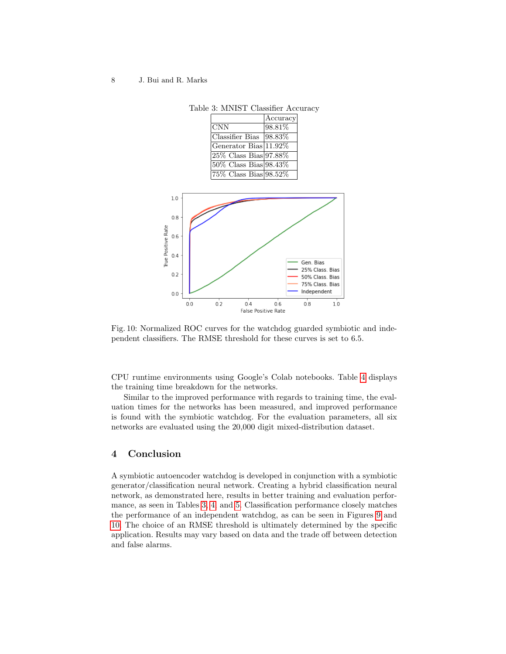#### <span id="page-7-0"></span>8 J. Bui and R. Marks

<span id="page-7-1"></span>

Table 3: MNIST Classifier Accuracy

Fig. 10: Normalized ROC curves for the watchdog guarded symbiotic and independent classifiers. The RMSE threshold for these curves is set to 6.5.

CPU runtime environments using Google's Colab notebooks. Table [4](#page-8-5) displays the training time breakdown for the networks.

Similar to the improved performance with regards to training time, the evaluation times for the networks has been measured, and improved performance is found with the symbiotic watchdog. For the evaluation parameters, all six networks are evaluated using the 20,000 digit mixed-distribution dataset.

# 4 Conclusion

A symbiotic autoencoder watchdog is developed in conjunction with a symbiotic generator/classification neural network. Creating a hybrid classification neural network, as demonstrated here, results in better training and evaluation performance, as seen in Tables [3,](#page-7-0) [4,](#page-8-5) and [5.](#page-8-6) Classification performance closely matches the performance of an independent watchdog, as can be seen in Figures [9](#page-6-1) and [10.](#page-7-1) The choice of an RMSE threshold is ultimately determined by the specific application. Results may vary based on data and the trade off between detection and false alarms.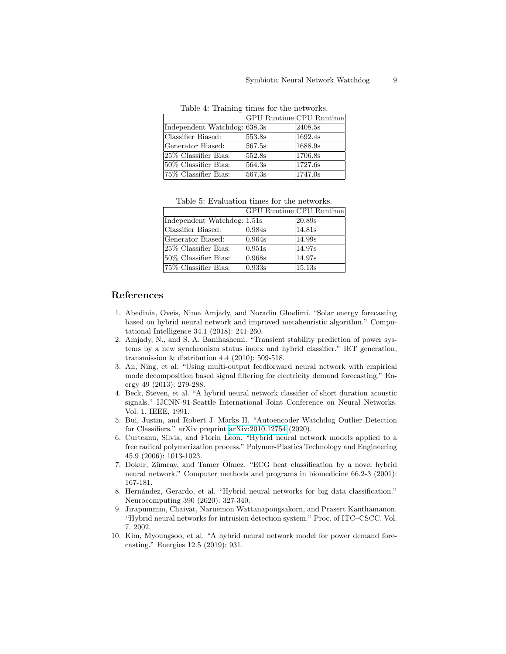<span id="page-8-5"></span>

|                                    | GPU Runtime CPU Runtime |         |  |  |  |  |
|------------------------------------|-------------------------|---------|--|--|--|--|
| Independent Watchdog: 638.3s       |                         | 2408.5s |  |  |  |  |
| Classifier Biased:                 | 553.8s                  | 1692.4s |  |  |  |  |
| Generator Biased:                  | 567.5s                  | 1688.9s |  |  |  |  |
| 25\% Classifier Bias:              | 552.8s                  | 1706.8s |  |  |  |  |
| $\overline{50\%}$ Classifier Bias: | 564.3s                  | 1727.6s |  |  |  |  |
| 75\% Classifier Bias:              | 567.3s                  | 1747.0s |  |  |  |  |

Table 4: Training times for the networks.

Table 5: Evaluation times for the networks.

<span id="page-8-6"></span>

|                             | <b>GPU</b> Runtime CPU Runtime |        |
|-----------------------------|--------------------------------|--------|
| Independent Watchdog: 1.51s |                                | 20.89s |
| Classifier Biased:          | 0.984s                         | 14.81s |
| Generator Biased:           | 0.964s                         | 14.99s |
| 25\% Classifier Bias:       | 0.951s                         | 14.97s |
| 50% Classifier Bias:        | 0.968s                         | 14.97s |
| 75\% Classifier Bias:       | 0.933s                         | 15.13s |

# References

- <span id="page-8-1"></span>1. Abedinia, Oveis, Nima Amjady, and Noradin Ghadimi. "Solar energy forecasting based on hybrid neural network and improved metaheuristic algorithm." Computational Intelligence 34.1 (2018): 241-260.
- <span id="page-8-2"></span>2. Amjady, N., and S. A. Banihashemi. "Transient stability prediction of power systems by a new synchronism status index and hybrid classifier." IET generation, transmission & distribution 4.4 (2010): 509-518.
- 3. An, Ning, et al. "Using multi-output feedforward neural network with empirical mode decomposition based signal filtering for electricity demand forecasting." Energy 49 (2013): 279-288.
- 4. Beck, Steven, et al. "A hybrid neural network classifier of short duration acoustic signals." IJCNN-91-Seattle International Joint Conference on Neural Networks. Vol. 1. IEEE, 1991.
- <span id="page-8-0"></span>5. Bui, Justin, and Robert J. Marks II. "Autoencoder Watchdog Outlier Detection for Classifiers." arXiv preprint [arXiv:2010.12754](http://arxiv.org/abs/2010.12754) (2020).
- 6. Curteanu, Silvia, and Florin Leon. "Hybrid neural network models applied to a free radical polymerization process." Polymer-Plastics Technology and Engineering 45.9 (2006): 1013-1023.
- <span id="page-8-4"></span>7. Dokur, Zümray, and Tamer Ölmez. "ECG beat classification by a novel hybrid neural network." Computer methods and programs in biomedicine 66.2-3 (2001): 167-181.
- 8. Hernández, Gerardo, et al. "Hybrid neural networks for big data classification." Neurocomputing 390 (2020): 327-340.
- 9. Jirapummin, Chaivat, Naruemon Wattanapongsakorn, and Prasert Kanthamanon. "Hybrid neural networks for intrusion detection system." Proc. of ITC–CSCC. Vol. 7. 2002.
- <span id="page-8-3"></span>10. Kim, Myoungsoo, et al. "A hybrid neural network model for power demand forecasting." Energies 12.5 (2019): 931.